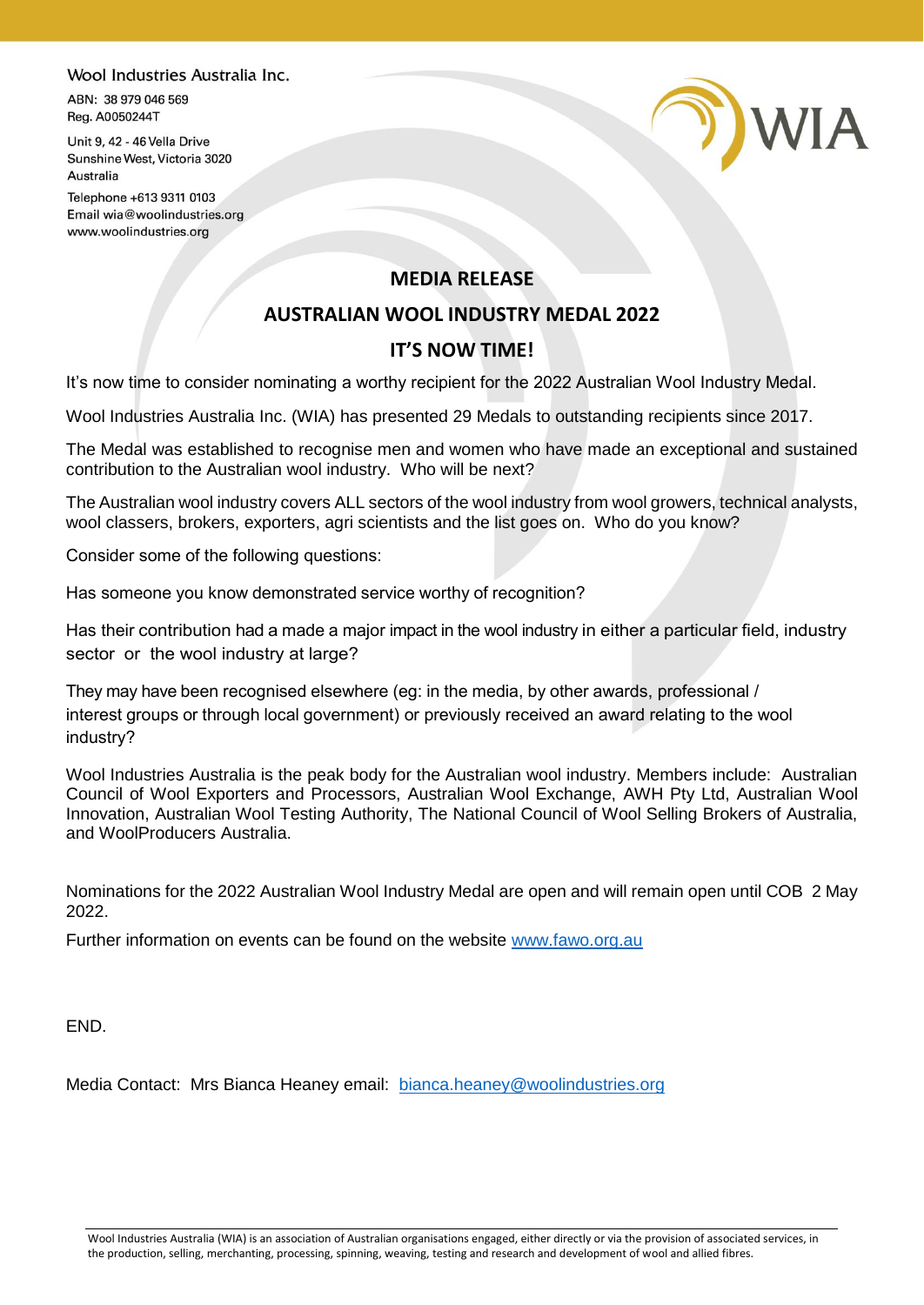## Wool Industries Australia Inc.

ABN: 38 979 046 569 Reg. A0050244T

Unit 9, 42 - 46 Vella Drive Sunshine West, Victoria 3020 Australia

Telephone +613 9311 0103 Email wia@woolindustries.org www.woolindustries.org

## **MEDIA RELEASE**

**D)WIA** 

## **AUSTRALIAN WOOL INDUSTRY MEDAL 2022**

## **IT'S NOW TIME!**

It's now time to consider nominating a worthy recipient for the 2022 Australian Wool Industry Medal.

Wool Industries Australia Inc. (WIA) has presented 29 Medals to outstanding recipients since 2017.

The Medal was established to recognise men and women who have made an exceptional and sustained contribution to the Australian wool industry. Who will be next?

The Australian wool industry covers ALL sectors of the wool industry from wool growers, technical analysts, wool classers, brokers, exporters, agri scientists and the list goes on. Who do you know?

Consider some of the following questions:

Has someone you know demonstrated service worthy of recognition?

Has their contribution had a made a major impact in the wool industry in either a particular field, industry sector or the wool industry at large?

They may have been recognised elsewhere (eg: in the media, by other awards, professional / interest groups or through local government) or previously received an award relating to the wool industry?

Wool Industries Australia is the peak body for the Australian wool industry. Members include: Australian Council of Wool Exporters and Processors, Australian Wool Exchange, AWH Pty Ltd, Australian Wool Innovation, Australian Wool Testing Authority, The National Council of Wool Selling Brokers of Australia, and WoolProducers Australia.

Nominations for the 2022 Australian Wool Industry Medal are open and will remain open until COB 2 May 2022.

Further information on events can be found on the website [www.fawo.org.au](http://www.fawo.org.au/)

END.

Media Contact: Mrs Bianca Heaney email: [bianca.heaney@woolindustries.org](mailto:bianca.heaney@woolindustries.org)